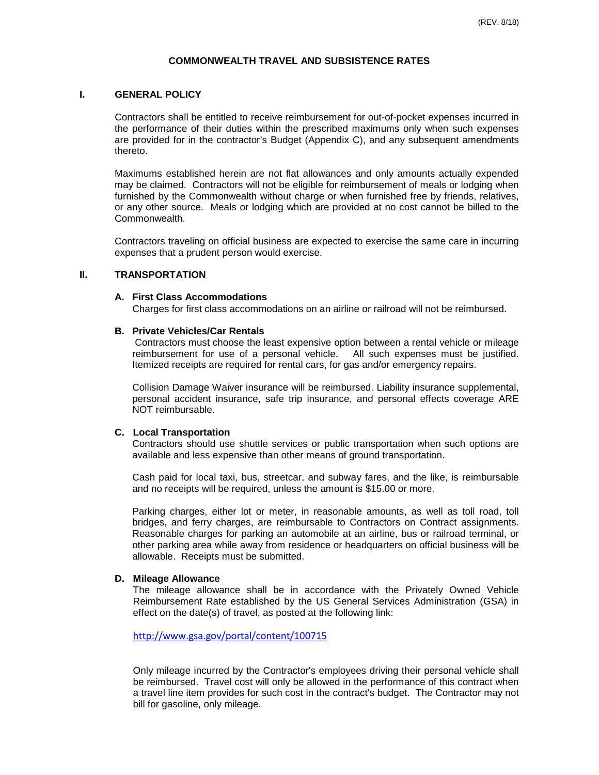## **COMMONWEALTH TRAVEL AND SUBSISTENCE RATES**

#### **I. GENERAL POLICY**

Contractors shall be entitled to receive reimbursement for out-of-pocket expenses incurred in the performance of their duties within the prescribed maximums only when such expenses are provided for in the contractor's Budget (Appendix C), and any subsequent amendments thereto.

Maximums established herein are not flat allowances and only amounts actually expended may be claimed. Contractors will not be eligible for reimbursement of meals or lodging when furnished by the Commonwealth without charge or when furnished free by friends, relatives, or any other source. Meals or lodging which are provided at no cost cannot be billed to the Commonwealth.

Contractors traveling on official business are expected to exercise the same care in incurring expenses that a prudent person would exercise.

#### **II. TRANSPORTATION**

#### **A. First Class Accommodations**

Charges for first class accommodations on an airline or railroad will not be reimbursed.

#### **B. Private Vehicles/Car Rentals**

Contractors must choose the least expensive option between a rental vehicle or mileage reimbursement for use of a personal vehicle. All such expenses must be justified. Itemized receipts are required for rental cars, for gas and/or emergency repairs.

Collision Damage Waiver insurance will be reimbursed. Liability insurance supplemental, personal accident insurance, safe trip insurance, and personal effects coverage ARE NOT reimbursable.

#### **C. Local Transportation**

Contractors should use shuttle services or public transportation when such options are available and less expensive than other means of ground transportation.

Cash paid for local taxi, bus, streetcar, and subway fares, and the like, is reimbursable and no receipts will be required, unless the amount is \$15.00 or more.

Parking charges, either lot or meter, in reasonable amounts, as well as toll road, toll bridges, and ferry charges, are reimbursable to Contractors on Contract assignments. Reasonable charges for parking an automobile at an airline, bus or railroad terminal, or other parking area while away from residence or headquarters on official business will be allowable. Receipts must be submitted.

#### **D. Mileage Allowance**

The mileage allowance shall be in accordance with the Privately Owned Vehicle Reimbursement Rate established by the US General Services Administration (GSA) in effect on the date(s) of travel, as posted at the following link:

<http://www.gsa.gov/portal/content/100715>

Only mileage incurred by the Contractor's employees driving their personal vehicle shall be reimbursed. Travel cost will only be allowed in the performance of this contract when a travel line item provides for such cost in the contract's budget. The Contractor may not bill for gasoline, only mileage.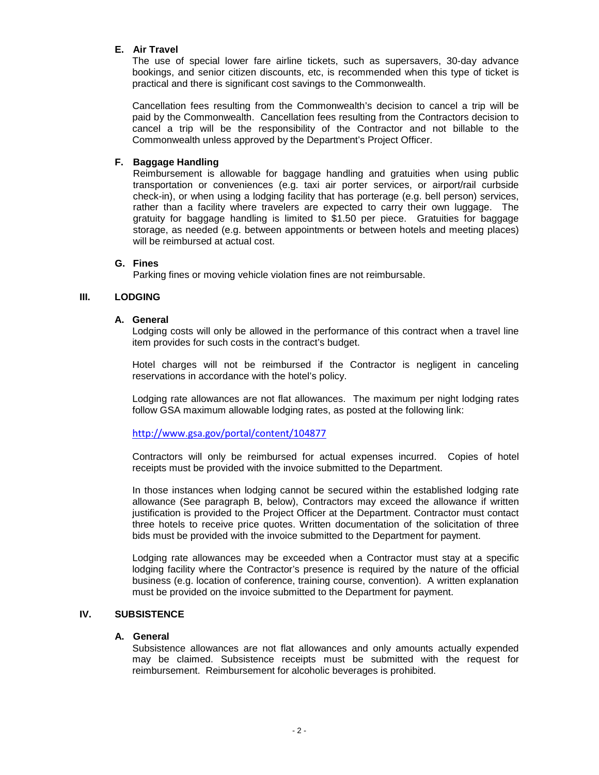## **E. Air Travel**

The use of special lower fare airline tickets, such as supersavers, 30-day advance bookings, and senior citizen discounts, etc, is recommended when this type of ticket is practical and there is significant cost savings to the Commonwealth.

Cancellation fees resulting from the Commonwealth's decision to cancel a trip will be paid by the Commonwealth. Cancellation fees resulting from the Contractors decision to cancel a trip will be the responsibility of the Contractor and not billable to the Commonwealth unless approved by the Department's Project Officer.

## **F. Baggage Handling**

Reimbursement is allowable for baggage handling and gratuities when using public transportation or conveniences (e.g. taxi air porter services, or airport/rail curbside check-in), or when using a lodging facility that has porterage (e.g. bell person) services, rather than a facility where travelers are expected to carry their own luggage. The gratuity for baggage handling is limited to \$1.50 per piece. Gratuities for baggage storage, as needed (e.g. between appointments or between hotels and meeting places) will be reimbursed at actual cost.

## **G. Fines**

Parking fines or moving vehicle violation fines are not reimbursable.

## **III. LODGING**

#### **A. General**

Lodging costs will only be allowed in the performance of this contract when a travel line item provides for such costs in the contract's budget.

Hotel charges will not be reimbursed if the Contractor is negligent in canceling reservations in accordance with the hotel's policy.

Lodging rate allowances are not flat allowances. The maximum per night lodging rates follow GSA maximum allowable lodging rates, as posted at the following link:

<http://www.gsa.gov/portal/content/104877>

Contractors will only be reimbursed for actual expenses incurred. Copies of hotel receipts must be provided with the invoice submitted to the Department.

In those instances when lodging cannot be secured within the established lodging rate allowance (See paragraph B, below), Contractors may exceed the allowance if written justification is provided to the Project Officer at the Department. Contractor must contact three hotels to receive price quotes. Written documentation of the solicitation of three bids must be provided with the invoice submitted to the Department for payment.

Lodging rate allowances may be exceeded when a Contractor must stay at a specific lodging facility where the Contractor's presence is required by the nature of the official business (e.g. location of conference, training course, convention). A written explanation must be provided on the invoice submitted to the Department for payment.

## **IV. SUBSISTENCE**

## **A. General**

Subsistence allowances are not flat allowances and only amounts actually expended may be claimed. Subsistence receipts must be submitted with the request for reimbursement. Reimbursement for alcoholic beverages is prohibited.